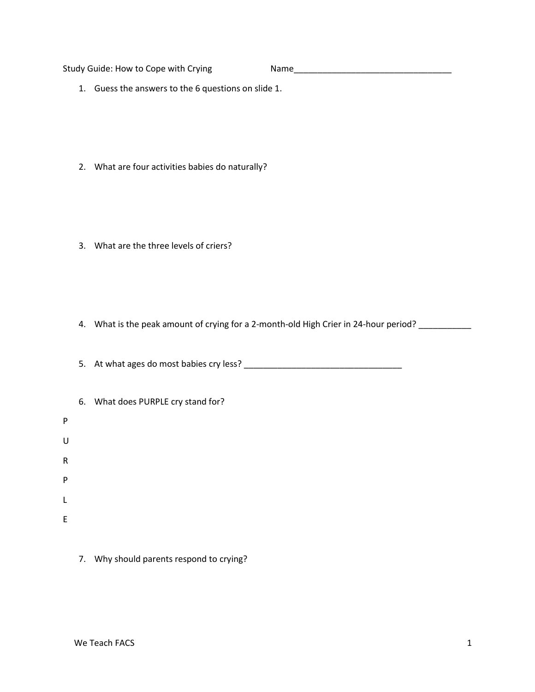Study Guide: How to Cope with Crying Name\_\_\_\_\_\_\_\_\_\_\_\_\_\_\_\_\_\_\_\_\_\_\_\_\_\_\_\_\_\_\_\_\_

- 1. Guess the answers to the 6 questions on slide 1.
- 2. What are four activities babies do naturally?
- 3. What are the three levels of criers?
- 4. What is the peak amount of crying for a 2-month-old High Crier in 24-hour period? \_\_\_\_\_\_\_\_\_\_\_

5. At what ages do most babies cry less? \_\_\_\_\_\_\_\_\_\_\_\_\_\_\_\_\_\_\_\_\_\_\_\_\_\_\_\_\_\_\_\_\_

|   | 6. What does PURPLE cry stand for? |
|---|------------------------------------|
| P |                                    |
| U |                                    |
| R |                                    |
| P |                                    |
| L |                                    |
| E |                                    |
|   |                                    |

7. Why should parents respond to crying?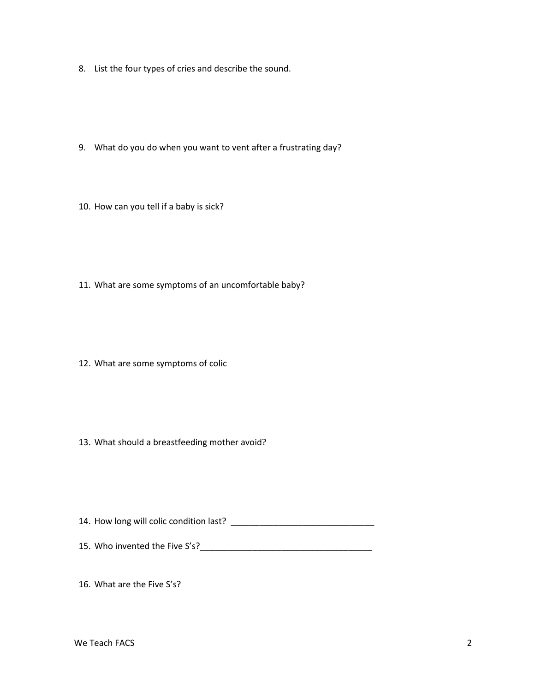- 8. List the four types of cries and describe the sound.
- 9. What do you do when you want to vent after a frustrating day?
- 10. How can you tell if a baby is sick?
- 11. What are some symptoms of an uncomfortable baby?
- 12. What are some symptoms of colic
- 13. What should a breastfeeding mother avoid?
- 14. How long will colic condition last? \_\_\_\_\_\_\_\_\_\_\_\_\_\_\_\_\_\_\_\_\_\_\_\_\_\_\_\_\_\_
- 15. Who invented the Five S's?\_\_\_\_\_\_\_\_\_\_\_\_\_\_\_\_\_\_\_\_\_\_\_\_\_\_\_\_\_\_\_\_\_\_\_\_

16. What are the Five S's?